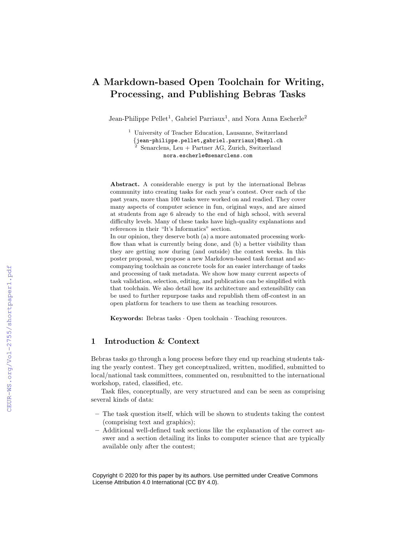# A Markdown-based Open Toolchain for Writing, Processing, and Publishing Bebras Tasks

Jean-Philippe Pellet<sup>1</sup>, Gabriel Parriaux<sup>1</sup>, and Nora Anna Escherle<sup>2</sup>

<sup>1</sup> University of Teacher Education, Lausanne, Switzerland {jean-philippe.pellet,gabriel.parriaux}@hepl.ch <sup>2</sup> Senarclens, Leu + Partner AG, Zurich, Switzerland nora.escherle@senarclens.com

Abstract. A considerable energy is put by the international Bebras community into creating tasks for each year's contest. Over each of the past years, more than 100 tasks were worked on and readied. They cover many aspects of computer science in fun, original ways, and are aimed at students from age 6 already to the end of high school, with several difficulty levels. Many of these tasks have high-quality explanations and references in their "It's Informatics" section.

In our opinion, they deserve both (a) a more automated processing workflow than what is currently being done, and (b) a better visibility than they are getting now during (and outside) the contest weeks. In this poster proposal, we propose a new Markdown-based task format and accompanying toolchain as concrete tools for an easier interchange of tasks and processing of task metadata. We show how many current aspects of task validation, selection, editing, and publication can be simplified with that toolchain. We also detail how its architecture and extensibility can be used to further repurpose tasks and republish them off-contest in an open platform for teachers to use them as teaching resources.

Keywords: Bebras tasks · Open toolchain · Teaching resources.

#### 1 Introduction & Context

Bebras tasks go through a long process before they end up reaching students taking the yearly contest. They get conceptualized, written, modified, submitted to local/national task committees, commented on, resubmitted to the international workshop, rated, classified, etc.

Task files, conceptually, are very structured and can be seen as comprising several kinds of data:

- The task question itself, which will be shown to students taking the contest (comprising text and graphics);
- Additional well-defined task sections like the explanation of the correct answer and a section detailing its links to computer science that are typically available only after the contest;

Copyright © 2020 for this paper by its authors. Use permitted under Creative Commons License Attribution 4.0 International (CC BY 4.0).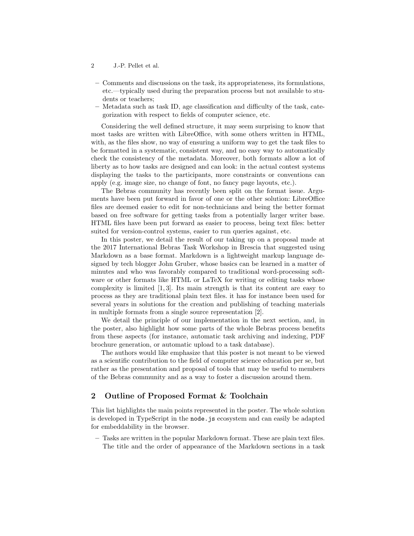- 2 J.-P. Pellet et al.
- Comments and discussions on the task, its appropriateness, its formulations, etc.—typically used during the preparation process but not available to students or teachers;
- Metadata such as task ID, age classification and difficulty of the task, categorization with respect to fields of computer science, etc.

Considering the well defined structure, it may seem surprising to know that most tasks are written with LibreOffice, with some others written in HTML, with, as the files show, no way of ensuring a uniform way to get the task files to be formatted in a systematic, consistent way, and no easy way to automatically check the consistency of the metadata. Moreover, both formats allow a lot of liberty as to how tasks are designed and can look: in the actual contest systems displaying the tasks to the participants, more constraints or conventions can apply (e.g. image size, no change of font, no fancy page layouts, etc.).

The Bebras community has recently been split on the format issue. Arguments have been put forward in favor of one or the other solution: LibreOffice files are deemed easier to edit for non-technicians and being the better format based on free software for getting tasks from a potentially larger writer base. HTML files have been put forward as easier to process, being text files: better suited for version-control systems, easier to run queries against, etc.

In this poster, we detail the result of our taking up on a proposal made at the 2017 International Bebras Task Workshop in Brescia that suggested using Markdown as a base format. Markdown is a lightweight markup language designed by tech blogger John Gruber, whose basics can be learned in a matter of minutes and who was favorably compared to traditional word-processing software or other formats like HTML or LaTeX for writing or editing tasks whose complexity is limited [1, 3]. Its main strength is that its content are easy to process as they are traditional plain text files. it has for instance been used for several years in solutions for the creation and publishing of teaching materials in multiple formats from a single source representation [2].

We detail the principle of our implementation in the next section, and, in the poster, also highlight how some parts of the whole Bebras process benefits from these aspects (for instance, automatic task archiving and indexing, PDF brochure generation, or automatic upload to a task database).

The authors would like emphasize that this poster is not meant to be viewed as a scientific contribution to the field of computer science education per se, but rather as the presentation and proposal of tools that may be useful to members of the Bebras community and as a way to foster a discussion around them.

## 2 Outline of Proposed Format & Toolchain

This list highlights the main points represented in the poster. The whole solution is developed in TypeScript in the node.js ecosystem and can easily be adapted for embeddability in the browser.

– Tasks are written in the popular Markdown format. These are plain text files. The title and the order of appearance of the Markdown sections in a task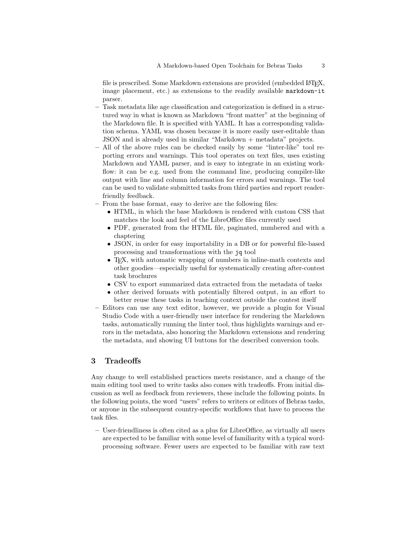file is prescribed. Some Markdown extensions are provided (embedded LAT<sub>E</sub>X, image placement, etc.) as extensions to the readily available markdown-it parser.

- Task metadata like age classification and categorization is defined in a structured way in what is known as Markdown "front matter" at the beginning of the Markdown file. It is specified with YAML. It has a corresponding validation schema. YAML was chosen because it is more easily user-editable than JSON and is already used in similar "Markdown + metadata" projects.
- All of the above rules can be checked easily by some "linter-like" tool reporting errors and warnings. This tool operates on text files, uses existing Markdown and YAML parser, and is easy to integrate in an existing workflow: it can be e.g. used from the command line, producing compiler-like output with line and column information for errors and warnings. The tool can be used to validate submitted tasks from third parties and report readerfriendly feedback.
- From the base format, easy to derive are the following files:
	- HTML, in which the base Markdown is rendered with custom CSS that matches the look and feel of the LibreOffice files currently used
	- PDF, generated from the HTML file, paginated, numbered and with a chaptering
	- JSON, in order for easy importability in a DB or for powerful file-based processing and transformations with the jq tool
	- T<sub>F</sub>X, with automatic wrapping of numbers in inline-math contexts and other goodies—especially useful for systematically creating after-contest task brochures
	- CSV to export summarized data extracted from the metadata of tasks
	- other derived formats with potentially filtered output, in an effort to better reuse these tasks in teaching context outside the contest itself
- Editors can use any text editor, however, we provide a plugin for Visual Studio Code with a user-friendly user interface for rendering the Markdown tasks, automatically running the linter tool, thus highlights warnings and errors in the metadata, also honoring the Markdown extensions and rendering the metadata, and showing UI buttons for the described conversion tools.

#### 3 Tradeoffs

Any change to well established practices meets resistance, and a change of the main editing tool used to write tasks also comes with tradeoffs. From initial discussion as well as feedback from reviewers, these include the following points. In the following points, the word "users" refers to writers or editors of Bebras tasks, or anyone in the subsequent country-specific workflows that have to process the task files.

– User-friendliness is often cited as a plus for LibreOffice, as virtually all users are expected to be familiar with some level of familiarity with a typical wordprocessing software. Fewer users are expected to be familiar with raw text